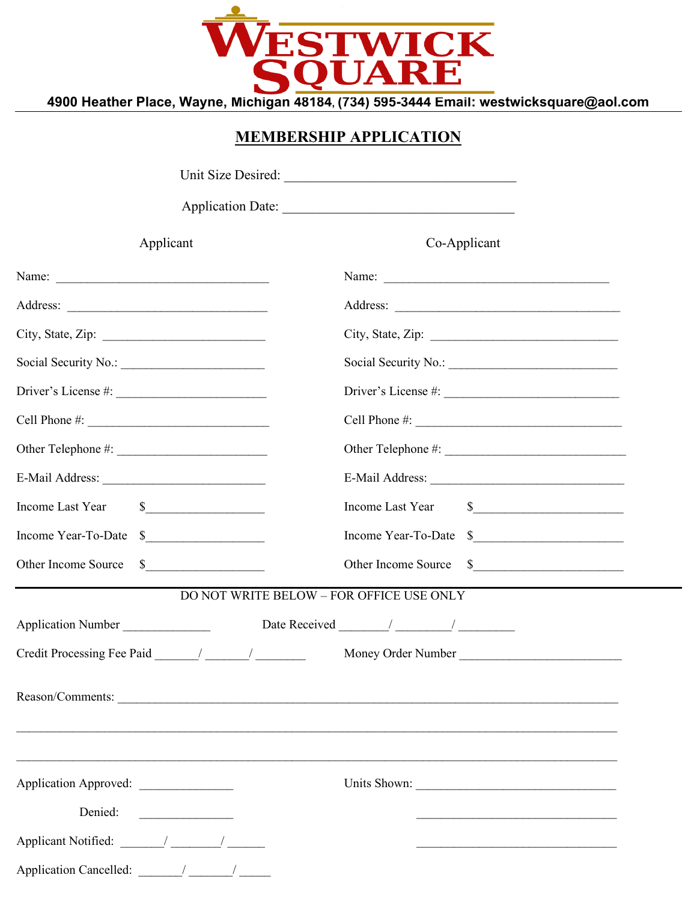

# **MEMBERSHIP APPLICATION**

| Applicant                        | Co-Applicant                             |
|----------------------------------|------------------------------------------|
|                                  |                                          |
|                                  |                                          |
|                                  |                                          |
|                                  |                                          |
|                                  |                                          |
|                                  |                                          |
|                                  |                                          |
|                                  |                                          |
| Income Last Year \$              | Income Last Year \$                      |
| Income Year-To-Date \$           | Income Year-To-Date \$                   |
| Other Income Source \$           | Other Income Source \$                   |
|                                  | DO NOT WRITE BELOW - FOR OFFICE USE ONLY |
| Application Number               |                                          |
|                                  | Money Order Number                       |
|                                  |                                          |
| Application Approved:<br>Denied: | Units Shown:                             |
|                                  |                                          |
|                                  |                                          |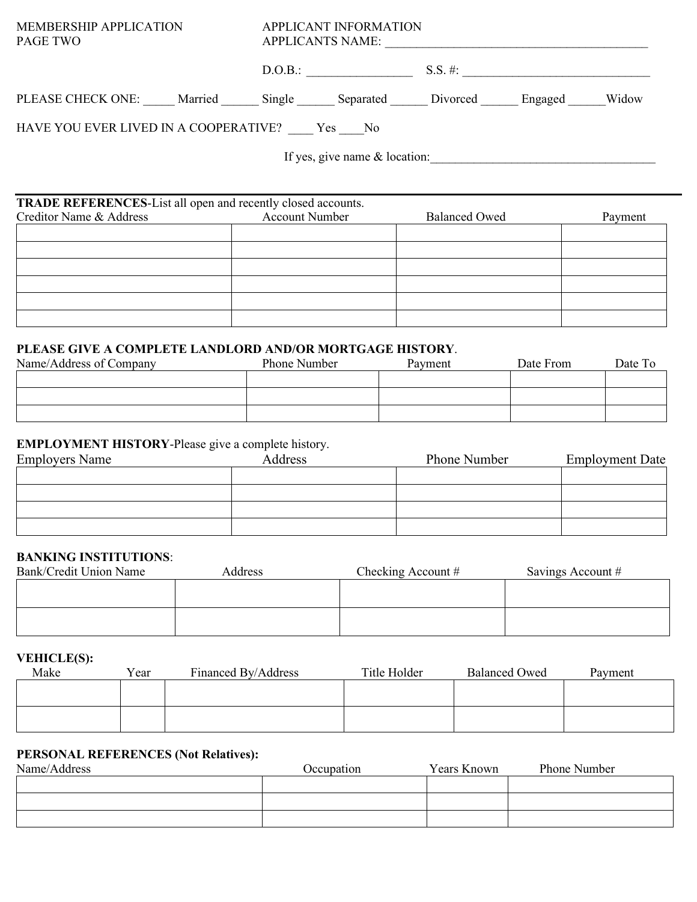| <b>MEMBERSHIP APPLICATION</b><br><b>PAGE TWO</b>                    | APPLICANT INFORMATION<br><b>APPLICANTS NAME:</b> |                                  |         |
|---------------------------------------------------------------------|--------------------------------------------------|----------------------------------|---------|
|                                                                     | D.O.B.:                                          | $S.S. \#:$                       |         |
| PLEASE CHECK ONE: Married Single Separated Divorced Engaged         |                                                  |                                  | Widow   |
| HAVE YOU EVER LIVED IN A COOPERATIVE? Yes No                        |                                                  |                                  |         |
|                                                                     |                                                  | If yes, give name $\&$ location: |         |
|                                                                     |                                                  |                                  |         |
| <b>TRADE REFERENCES-List all open and recently closed accounts.</b> |                                                  |                                  |         |
| Creditor Name & Address                                             | <b>Account Number</b>                            | <b>Balanced Owed</b>             | Payment |
|                                                                     |                                                  |                                  |         |

# **PLEASE GIVE A COMPLETE LANDLORD AND/OR MORTGAGE HISTORY**.

| <u>TERASE GIVE A COMITELIE LANDEOND AND/ON MONTGAGE HISTONI.</u> |              |         |           |         |  |  |
|------------------------------------------------------------------|--------------|---------|-----------|---------|--|--|
| Name/Address of Company                                          | Phone Number | Payment | Date From | Date To |  |  |
|                                                                  |              |         |           |         |  |  |
|                                                                  |              |         |           |         |  |  |
|                                                                  |              |         |           |         |  |  |

### **EMPLOYMENT HISTORY**-Please give a complete history.

| <b>Employers Name</b> | Address | Phone Number | <b>Employment Date</b> |
|-----------------------|---------|--------------|------------------------|
|                       |         |              |                        |
|                       |         |              |                        |
|                       |         |              |                        |
|                       |         |              |                        |

#### **BANKING INSTITUTIONS**:

| Bank/Credit Union Name | Address | Checking Account $#$ | Savings Account # |
|------------------------|---------|----------------------|-------------------|
|                        |         |                      |                   |
|                        |         |                      |                   |
|                        |         |                      |                   |
|                        |         |                      |                   |

#### **VEHICLE(S):**

| Make | Year | Financed By/Address | Title Holder | <b>Balanced Owed</b> | Payment |
|------|------|---------------------|--------------|----------------------|---------|
|      |      |                     |              |                      |         |
|      |      |                     |              |                      |         |
|      |      |                     |              |                      |         |
|      |      |                     |              |                      |         |

### **PERSONAL REFERENCES (Not Relatives):**

| Name/Address | Occupation | Years Known | Phone Number |
|--------------|------------|-------------|--------------|
|              |            |             |              |
|              |            |             |              |
|              |            |             |              |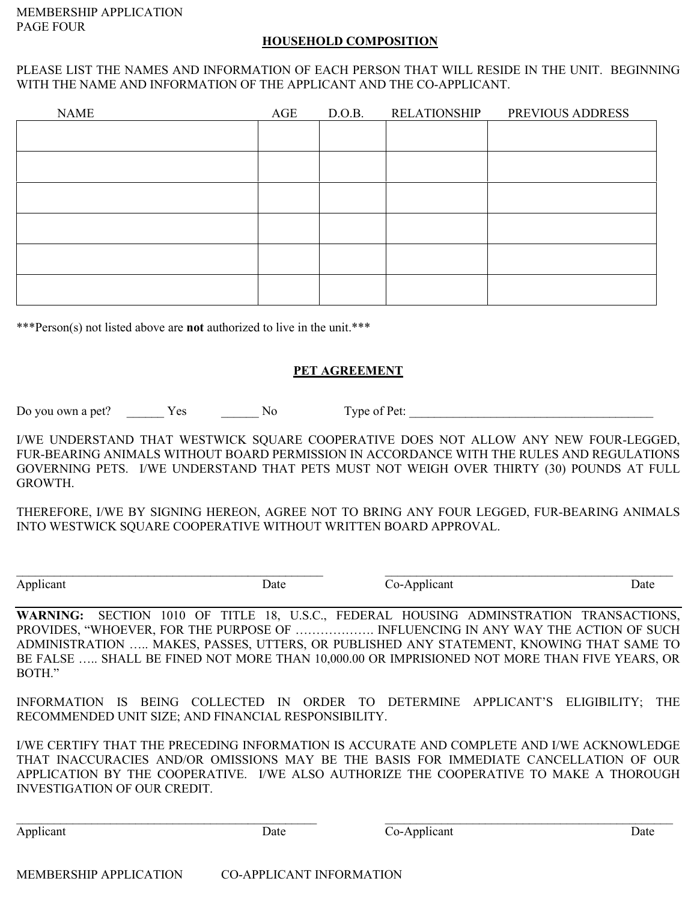#### **HOUSEHOLD COMPOSITION**

#### PLEASE LIST THE NAMES AND INFORMATION OF EACH PERSON THAT WILL RESIDE IN THE UNIT. BEGINNING WITH THE NAME AND INFORMATION OF THE APPLICANT AND THE CO-APPLICANT.

| <b>NAME</b> | AGE | D.O.B. | <b>RELATIONSHIP</b> | PREVIOUS ADDRESS |
|-------------|-----|--------|---------------------|------------------|
|             |     |        |                     |                  |
|             |     |        |                     |                  |
|             |     |        |                     |                  |
|             |     |        |                     |                  |
|             |     |        |                     |                  |
|             |     |        |                     |                  |
|             |     |        |                     |                  |
|             |     |        |                     |                  |
|             |     |        |                     |                  |
|             |     |        |                     |                  |

\*\*\*Person(s) not listed above are **not** authorized to live in the unit.\*\*\*

#### **PET AGREEMENT**

Do you own a pet? <br>
Yes  $\qquad \qquad$  No Type of Pet:

I/WE UNDERSTAND THAT WESTWICK SQUARE COOPERATIVE DOES NOT ALLOW ANY NEW FOUR-LEGGED, FUR-BEARING ANIMALS WITHOUT BOARD PERMISSION IN ACCORDANCE WITH THE RULES AND REGULATIONS GOVERNING PETS. I/WE UNDERSTAND THAT PETS MUST NOT WEIGH OVER THIRTY (30) POUNDS AT FULL GROWTH.

THEREFORE, I/WE BY SIGNING HEREON, AGREE NOT TO BRING ANY FOUR LEGGED, FUR-BEARING ANIMALS INTO WESTWICK SQUARE COOPERATIVE WITHOUT WRITTEN BOARD APPROVAL.

 $\_$ 

Applicant Date Date Co-Applicant Date Date Date

**WARNING:** SECTION 1010 OF TITLE 18, U.S.C., FEDERAL HOUSING ADMINSTRATION TRANSACTIONS, PROVIDES, "WHOEVER, FOR THE PURPOSE OF ………………. INFLUENCING IN ANY WAY THE ACTION OF SUCH ADMINISTRATION ….. MAKES, PASSES, UTTERS, OR PUBLISHED ANY STATEMENT, KNOWING THAT SAME TO BE FALSE ….. SHALL BE FINED NOT MORE THAN 10,000.00 OR IMPRISIONED NOT MORE THAN FIVE YEARS, OR BOTH."

INFORMATION IS BEING COLLECTED IN ORDER TO DETERMINE APPLICANT'S ELIGIBILITY; THE RECOMMENDED UNIT SIZE; AND FINANCIAL RESPONSIBILITY.

I/WE CERTIFY THAT THE PRECEDING INFORMATION IS ACCURATE AND COMPLETE AND I/WE ACKNOWLEDGE THAT INACCURACIES AND/OR OMISSIONS MAY BE THE BASIS FOR IMMEDIATE CANCELLATION OF OUR APPLICATION BY THE COOPERATIVE. I/WE ALSO AUTHORIZE THE COOPERATIVE TO MAKE A THOROUGH INVESTIGATION OF OUR CREDIT.

\_\_\_\_\_\_\_\_\_\_\_\_\_\_\_\_\_\_\_\_\_\_\_\_\_\_\_\_\_\_\_\_\_\_\_\_\_\_\_\_\_\_\_\_\_\_\_\_ \_\_\_\_\_\_\_\_\_\_\_\_\_\_\_\_\_\_\_\_\_\_\_\_\_\_\_\_\_\_\_\_\_\_\_\_\_\_\_\_\_\_\_\_\_\_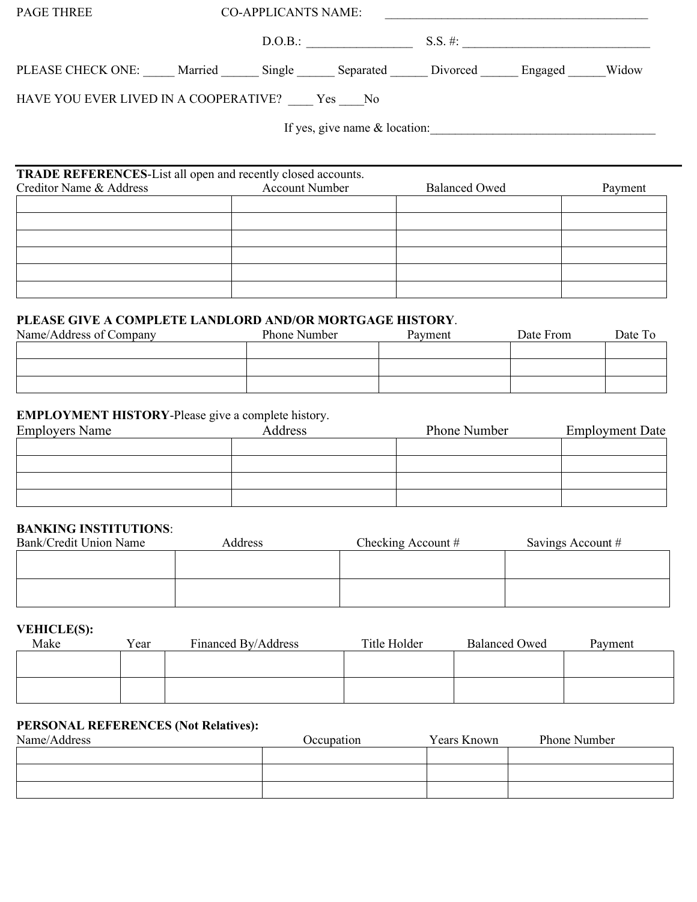| <b>PAGE THREE</b>                                                                              |                       | <b>CO-APPLICANTS NAME:</b> |                                               |         |
|------------------------------------------------------------------------------------------------|-----------------------|----------------------------|-----------------------------------------------|---------|
|                                                                                                |                       |                            |                                               |         |
| PLEASE CHECK ONE: Married Single Separated Divorced Engaged Widow                              |                       |                            |                                               |         |
| HAVE YOU EVER LIVED IN A COOPERATIVE? ____ Yes ____ No                                         |                       |                            |                                               |         |
|                                                                                                |                       |                            | If yes, give name & location:                 |         |
|                                                                                                |                       |                            |                                               |         |
| <b>TRADE REFERENCES-List all open and recently closed accounts.</b><br>Creditor Name & Address | <b>Account Number</b> |                            | <b>Balanced Owed</b>                          | Payment |
|                                                                                                |                       |                            |                                               |         |
|                                                                                                |                       |                            |                                               |         |
|                                                                                                |                       |                            |                                               |         |
|                                                                                                |                       |                            |                                               |         |
|                                                                                                |                       |                            |                                               |         |
|                                                                                                |                       |                            |                                               |         |
| PLEASE GIVE A COMPLETE LANDLORD AND/OR MORTGAGE HISTORY.                                       |                       |                            |                                               |         |
| Name/Address of Company                                                                        |                       |                            | Phone Number <b>Payment</b> Date From Date To |         |

| Name/Address of Company | Phone Number | Payment | Date From | Date To |
|-------------------------|--------------|---------|-----------|---------|
|                         |              |         |           |         |
|                         |              |         |           |         |
|                         |              |         |           |         |
|                         |              |         |           |         |

## **EMPLOYMENT HISTORY**-Please give a complete history.

| <b>Employers Name</b> | Address | Phone Number | <b>Employment Date</b> |
|-----------------------|---------|--------------|------------------------|
|                       |         |              |                        |
|                       |         |              |                        |
|                       |         |              |                        |
|                       |         |              |                        |

#### **BANKING INSTITUTIONS**:

| Bank/Credit Union Name | <b>Address</b> | Checking Account $#$ | Savings Account # |
|------------------------|----------------|----------------------|-------------------|
|                        |                |                      |                   |
|                        |                |                      |                   |
|                        |                |                      |                   |
|                        |                |                      |                   |

### **VEHICLE(S):**

| Make | Year | Financed By/Address | Title Holder | <b>Balanced Owed</b> | Payment |
|------|------|---------------------|--------------|----------------------|---------|
|      |      |                     |              |                      |         |
|      |      |                     |              |                      |         |
|      |      |                     |              |                      |         |
|      |      |                     |              |                      |         |

#### **PERSONAL REFERENCES (Not Relatives):**

| Name/Address | Occupation | Years Known | Phone Number |
|--------------|------------|-------------|--------------|
|              |            |             |              |
|              |            |             |              |
|              |            |             |              |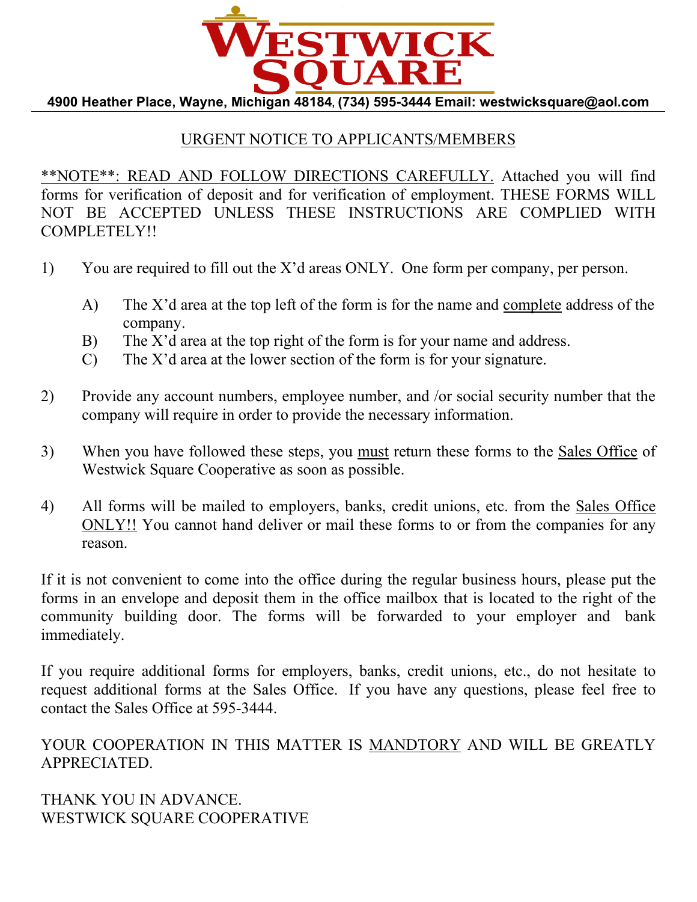

# URGENT NOTICE TO APPLICANTS/MEMBERS

\*\*NOTE\*\*: READ AND FOLLOW DIRECTIONS CAREFULLY. Attached you will find forms for verification of deposit and for verification of employment. THESE FORMS WILL NOT BE ACCEPTED UNLESS THESE INSTRUCTIONS ARE COMPLIED WITH COMPLETELY!!

- 1) You are required to fill out the X'd areas ONLY. One form per company, per person.
	- A) The X'd area at the top left of the form is for the name and complete address of the company.
	- B) The X'd area at the top right of the form is for your name and address.
	- C) The X'd area at the lower section of the form is for your signature.
- 2) Provide any account numbers, employee number, and /or social security number that the company will require in order to provide the necessary information.
- 3) When you have followed these steps, you must return these forms to the Sales Office of Westwick Square Cooperative as soon as possible.
- 4) All forms will be mailed to employers, banks, credit unions, etc. from the Sales Office ONLY!! You cannot hand deliver or mail these forms to or from the companies for any reason.

If it is not convenient to come into the office during the regular business hours, please put the forms in an envelope and deposit them in the office mailbox that is located to the right of the community building door. The forms will be forwarded to your employer and bank immediately.

If you require additional forms for employers, banks, credit unions, etc., do not hesitate to request additional forms at the Sales Office. If you have any questions, please feel free to contact the Sales Office at 595-3444.

YOUR COOPERATION IN THIS MATTER IS MANDTORY AND WILL BE GREATLY APPRECIATED.

THANK YOU IN ADVANCE. WESTWICK SQUARE COOPERATIVE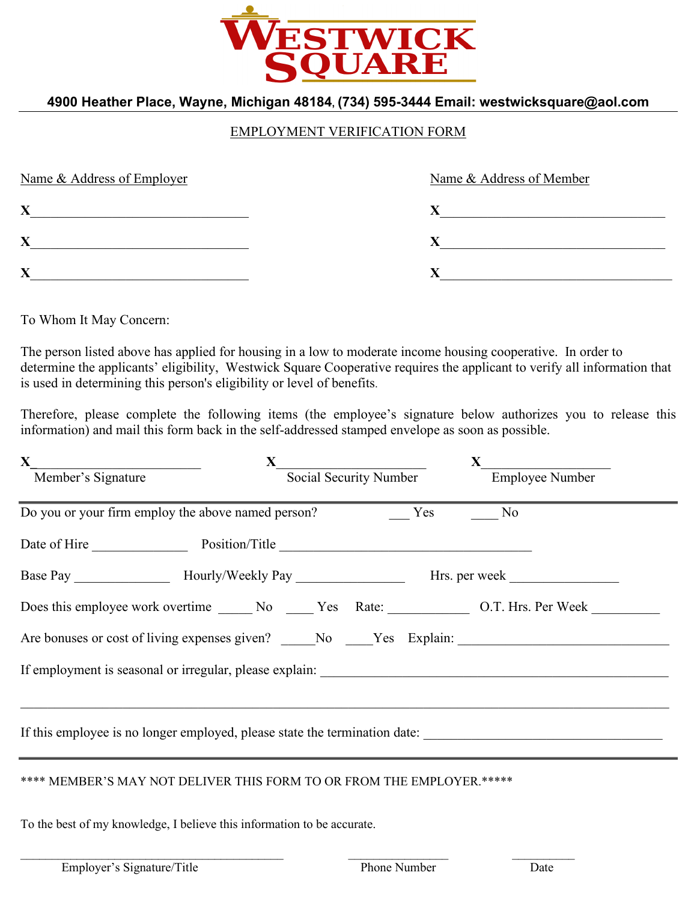

#### EMPLOYMENT VERIFICATION FORM

| Name & Address of Employer | Name & Address of Member |
|----------------------------|--------------------------|
| X                          |                          |
| X                          |                          |
| v<br>Δ                     |                          |

To Whom It May Concern:

The person listed above has applied for housing in a low to moderate income housing cooperative. In order to determine the applicants' eligibility, Westwick Square Cooperative requires the applicant to verify all information that is used in determining this person's eligibility or level of benefits.

Therefore, please complete the following items (the employee's signature below authorizes you to release this information) and mail this form back in the self-addressed stamped envelope as soon as possible.

| $\mathbf{X}$                                                                                              |                        |                             |  |
|-----------------------------------------------------------------------------------------------------------|------------------------|-----------------------------|--|
| Member's Signature                                                                                        | Social Security Number | <b>X</b><br>Employee Number |  |
| Do you or your firm employ the above named person? Yes No                                                 |                        |                             |  |
| Date of Hire Position/Title                                                                               |                        |                             |  |
|                                                                                                           |                        |                             |  |
| Does this employee work overtime _______ No ______ Yes Rate: ______________ O.T. Hrs. Per Week __________ |                        |                             |  |
| Are bonuses or cost of living expenses given? No Nes Explain: No Nes Explain:                             |                        |                             |  |
|                                                                                                           |                        |                             |  |
|                                                                                                           |                        |                             |  |
| If this employee is no longer employed, please state the termination date:                                |                        |                             |  |
|                                                                                                           |                        |                             |  |
| **** MEMBER'S MAY NOT DELIVER THIS FORM TO OR FROM THE EMPLOYER.*****                                     |                        |                             |  |

\_\_\_\_\_\_\_\_\_\_\_\_\_\_\_\_\_\_\_\_\_\_\_\_\_\_\_\_\_\_\_\_\_\_\_\_\_\_\_\_\_\_ \_\_\_\_\_\_\_\_\_\_\_\_\_\_\_\_ \_\_\_\_\_\_\_\_\_\_

To the best of my knowledge, I believe this information to be accurate.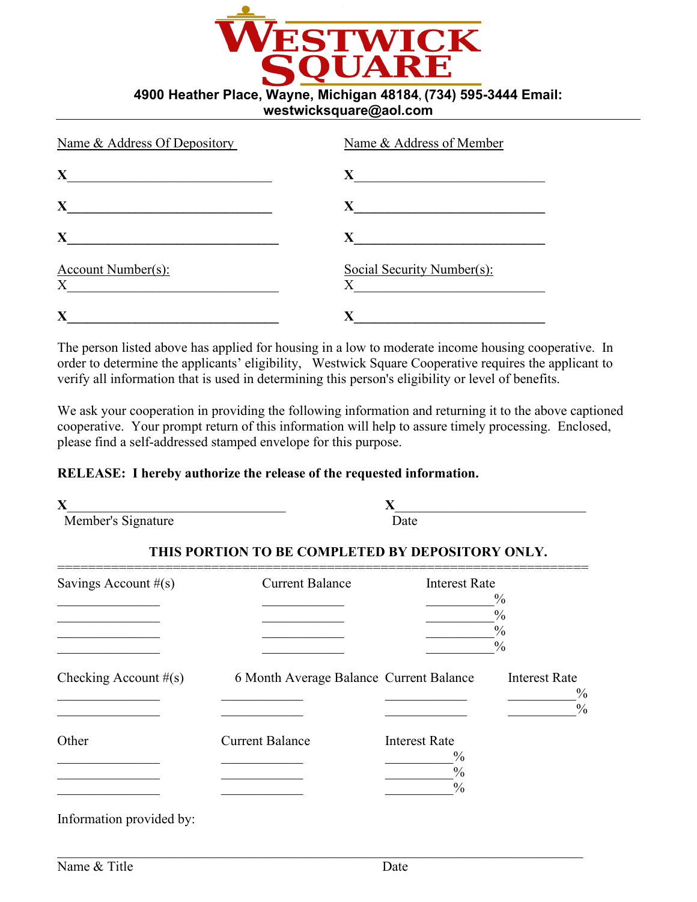

| Name & Address Of Depository   | Name & Address of Member              |
|--------------------------------|---------------------------------------|
| X                              | X                                     |
| X                              | X                                     |
| X                              | X                                     |
| <b>Account Number(s):</b><br>X | Social Security Number(s):<br>$\rm X$ |
| X                              | X                                     |

The person listed above has applied for housing in a low to moderate income housing cooperative. In order to determine the applicants' eligibility, Westwick Square Cooperative requires the applicant to verify all information that is used in determining this person's eligibility or level of benefits.

We ask your cooperation in providing the following information and returning it to the above captioned cooperative. Your prompt return of this information will help to assure timely processing. Enclosed, please find a self-addressed stamped envelope for this purpose.

#### **RELEASE: I hereby authorize the release of the requested information.**

| X<br>Member's Signature  |                                                  | $\mathbf X$<br>Date                                                     |                                                                  |  |
|--------------------------|--------------------------------------------------|-------------------------------------------------------------------------|------------------------------------------------------------------|--|
|                          | THIS PORTION TO BE COMPLETED BY DEPOSITORY ONLY. |                                                                         |                                                                  |  |
| Savings Account $#(s)$   | <b>Current Balance</b>                           | <b>Interest Rate</b>                                                    | $\frac{0}{0}$<br>$\frac{0}{0}$<br>$\frac{0}{0}$<br>$\frac{0}{0}$ |  |
| Checking Account $#(s)$  | 6 Month Average Balance Current Balance          |                                                                         | <b>Interest Rate</b><br>$\frac{0}{0}$<br>$\frac{0}{0}$           |  |
| Other                    | <b>Current Balance</b>                           | <b>Interest Rate</b><br>$\frac{0}{0}$<br>$\frac{0}{0}$<br>$\frac{0}{0}$ |                                                                  |  |
| Information provided by: |                                                  |                                                                         |                                                                  |  |

\_\_\_\_\_\_\_\_\_\_\_\_\_\_\_\_\_\_\_\_\_\_\_\_\_\_\_\_\_\_\_\_\_\_\_\_\_\_\_\_\_\_\_\_\_\_\_\_\_\_\_\_\_\_\_\_\_\_\_\_\_\_\_\_\_\_\_\_\_\_\_\_\_\_\_\_\_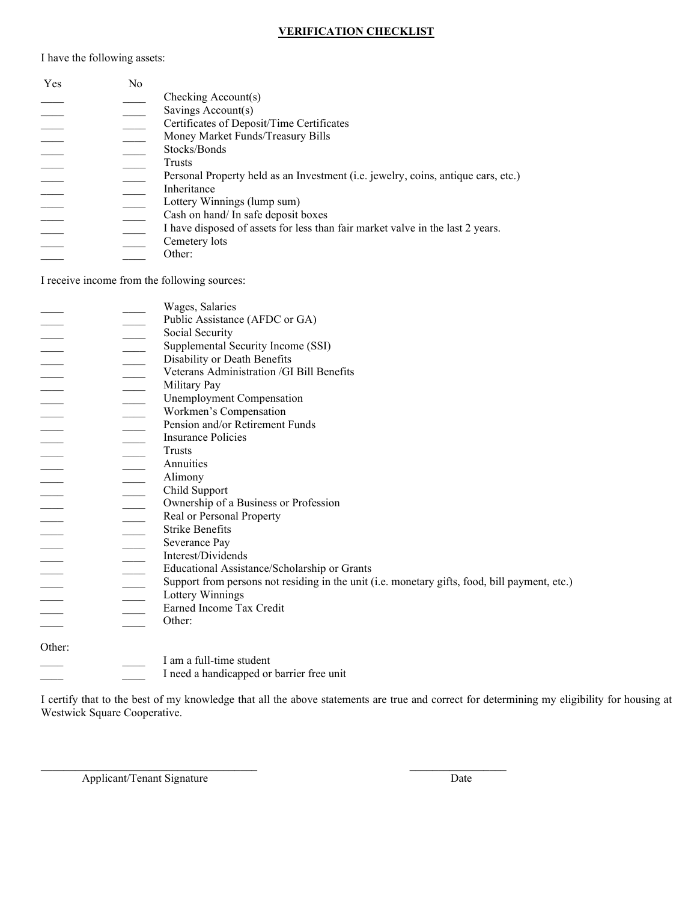#### **VERIFICATION CHECKLIST**

I have the following assets:

| Yes | N <sub>0</sub> |                                                                                   |
|-----|----------------|-----------------------------------------------------------------------------------|
|     |                | Checking $Account(s)$                                                             |
|     |                | Savings Account(s)                                                                |
|     |                | Certificates of Deposit/Time Certificates                                         |
|     |                | Money Market Funds/Treasury Bills                                                 |
|     |                | Stocks/Bonds                                                                      |
|     |                | Trusts                                                                            |
|     |                | Personal Property held as an Investment (i.e. jewelry, coins, antique cars, etc.) |
|     |                | Inheritance                                                                       |
|     |                | Lottery Winnings (lump sum)                                                       |
|     |                | Cash on hand/ In safe deposit boxes                                               |
|     |                | I have disposed of assets for less than fair market valve in the last 2 years.    |
|     |                | Cemetery lots                                                                     |
|     |                | Other:                                                                            |
|     |                |                                                                                   |

I receive income from the following sources:

|        |                          | Wages, Salaries                                                                               |
|--------|--------------------------|-----------------------------------------------------------------------------------------------|
|        |                          | Public Assistance (AFDC or GA)                                                                |
|        |                          | Social Security                                                                               |
|        |                          | Supplemental Security Income (SSI)                                                            |
|        |                          | Disability or Death Benefits                                                                  |
|        |                          | Veterans Administration / GI Bill Benefits                                                    |
|        |                          | Military Pay                                                                                  |
|        | $\overline{\phantom{a}}$ | Unemployment Compensation                                                                     |
|        |                          | Workmen's Compensation                                                                        |
|        |                          | Pension and/or Retirement Funds                                                               |
|        |                          | <b>Insurance Policies</b>                                                                     |
|        |                          | Trusts                                                                                        |
|        |                          | Annuities                                                                                     |
|        |                          | Alimony                                                                                       |
|        | $\overline{\phantom{a}}$ | Child Support                                                                                 |
|        |                          | Ownership of a Business or Profession                                                         |
|        |                          | Real or Personal Property                                                                     |
|        | $\equiv$                 | <b>Strike Benefits</b>                                                                        |
|        |                          |                                                                                               |
|        |                          | Severance Pay<br>Interest/Dividends                                                           |
|        |                          |                                                                                               |
|        |                          | Educational Assistance/Scholarship or Grants                                                  |
|        |                          | Support from persons not residing in the unit (i.e. monetary gifts, food, bill payment, etc.) |
|        |                          | Lottery Winnings                                                                              |
|        |                          | Earned Income Tax Credit                                                                      |
|        |                          | Other:                                                                                        |
| Other: |                          |                                                                                               |
|        |                          | I am a full-time student                                                                      |
|        |                          | I need a handicapped or barrier free unit                                                     |
|        |                          |                                                                                               |

 $\mathcal{L}_\text{max}$  , and the set of the set of the set of the set of the set of the set of the set of the set of the set of

I certify that to the best of my knowledge that all the above statements are true and correct for determining my eligibility for housing at Westwick Square Cooperative.

Applicant/Tenant Signature Date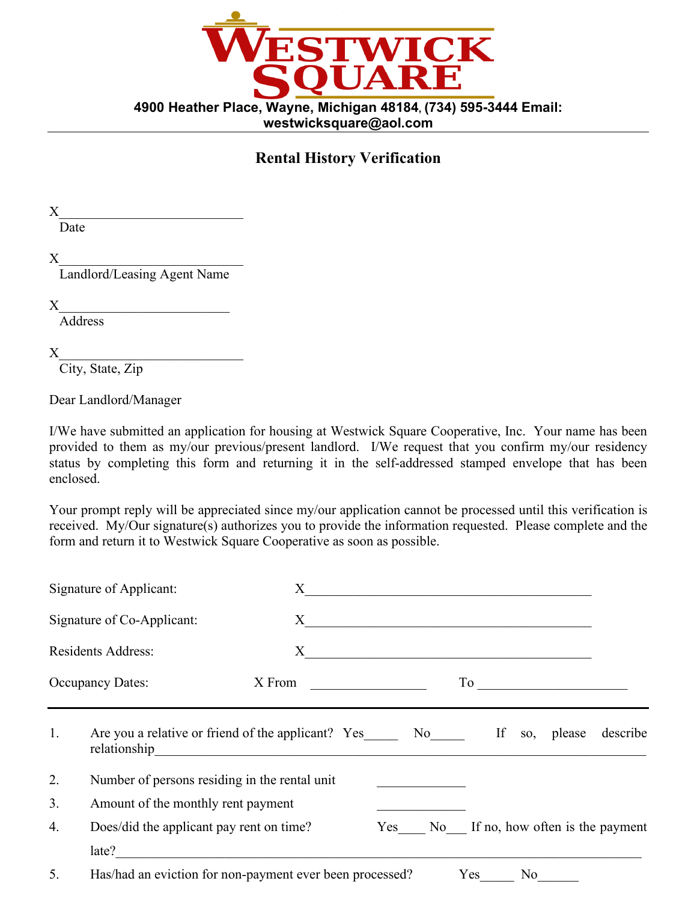

# **Rental History Verification**

 $X$ 

Date

 $X_\_$ 

Landlord/Leasing Agent Name

 $X_\_$ 

**Address** 

 $X_\_$ 

City, State, Zip

Dear Landlord/Manager

I/We have submitted an application for housing at Westwick Square Cooperative, Inc. Your name has been provided to them as my/our previous/present landlord. I/We request that you confirm my/our residency status by completing this form and returning it in the self-addressed stamped envelope that has been enclosed.

Your prompt reply will be appreciated since my/our application cannot be processed until this verification is received. My/Our signature(s) authorizes you to provide the information requested. Please complete and the form and return it to Westwick Square Cooperative as soon as possible.

|    | Signature of Applicant:                       | $X_{-}$                                                                                                                                                                                                                                                                                |  |                                                             |  |
|----|-----------------------------------------------|----------------------------------------------------------------------------------------------------------------------------------------------------------------------------------------------------------------------------------------------------------------------------------------|--|-------------------------------------------------------------|--|
|    | Signature of Co-Applicant:                    | $X_{\mathcal{C}}$                                                                                                                                                                                                                                                                      |  |                                                             |  |
|    | <b>Residents Address:</b>                     | X                                                                                                                                                                                                                                                                                      |  | <u> 1989 - Johann Stoff, Amerikaansk politiker († 1958)</u> |  |
|    | <b>Occupancy Dates:</b>                       | X From                                                                                                                                                                                                                                                                                 |  | $\Gamma$ o                                                  |  |
| 1. |                                               | Are you a relative or friend of the applicant? Yes No<br>relationship and the contract of the contract of the contract of the contract of the contract of the contract of the contract of the contract of the contract of the contract of the contract of the contract of the contract |  | If<br>so, please describe                                   |  |
| 2. | Number of persons residing in the rental unit |                                                                                                                                                                                                                                                                                        |  |                                                             |  |
| 3. | Amount of the monthly rent payment            |                                                                                                                                                                                                                                                                                        |  |                                                             |  |
| 4. | Does/did the applicant pay rent on time?      |                                                                                                                                                                                                                                                                                        |  | Yes No If no, how often is the payment                      |  |
|    | late?                                         |                                                                                                                                                                                                                                                                                        |  |                                                             |  |
| 5. |                                               | Has/had an eviction for non-payment ever been processed?                                                                                                                                                                                                                               |  | Yes<br>$\overline{\text{No}}$                               |  |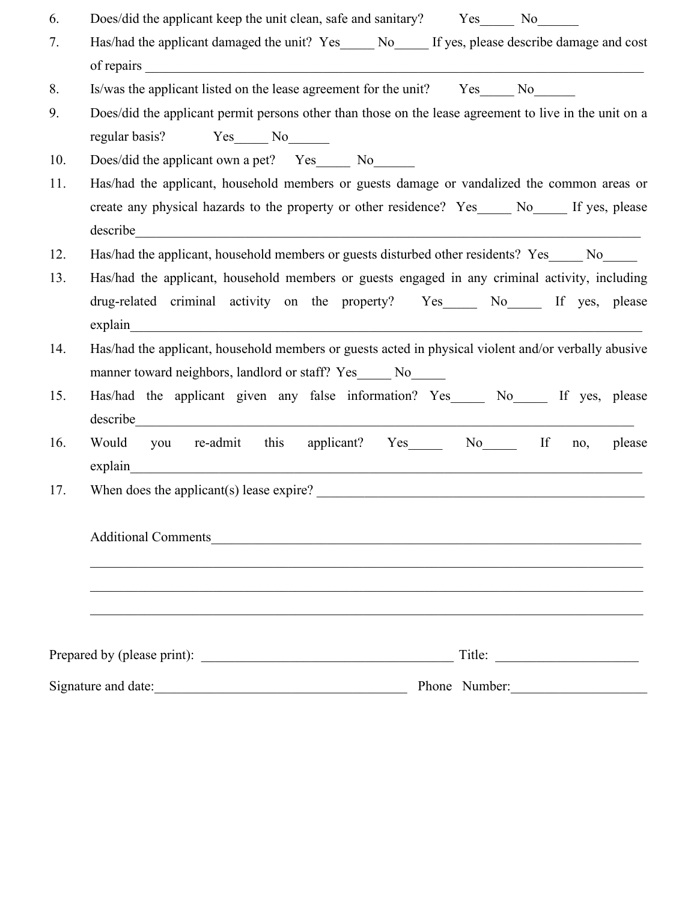| 6.  | Does/did the applicant keep the unit clean, safe and sanitary? Yes No No                                                                                                                                                       |
|-----|--------------------------------------------------------------------------------------------------------------------------------------------------------------------------------------------------------------------------------|
| 7.  | Has/had the applicant damaged the unit? Yes____ No___ If yes, please describe damage and cost                                                                                                                                  |
|     | of repairs<br><u> 1989 - Johann John Stein, mars an deus Amerikaansk kommunister (</u>                                                                                                                                         |
| 8.  | Is/was the applicant listed on the lease agreement for the unit? Yes______ No______                                                                                                                                            |
| 9.  | Does/did the applicant permit persons other than those on the lease agreement to live in the unit on a                                                                                                                         |
|     | regular basis? Yes No                                                                                                                                                                                                          |
| 10. | Does/did the applicant own a pet? Yes _______ No_______                                                                                                                                                                        |
| 11. | Has/had the applicant, household members or guests damage or vandalized the common areas or                                                                                                                                    |
|     | create any physical hazards to the property or other residence? Yes_____ No_____ If yes, please                                                                                                                                |
|     | describe<br><u> 1989 - Johann John Stone, markin film yn y breninnas yn y breninnas y breninnas y breninnas y breninnas y bre</u>                                                                                              |
| 12. | Has/had the applicant, household members or guests disturbed other residents? Yes No                                                                                                                                           |
| 13. | Has/had the applicant, household members or guests engaged in any criminal activity, including                                                                                                                                 |
|     | drug-related criminal activity on the property? Yes_____ No_____ If yes, please                                                                                                                                                |
|     | explain                                                                                                                                                                                                                        |
| 14. | Has/had the applicant, household members or guests acted in physical violent and/or verbally abusive                                                                                                                           |
|     | manner toward neighbors, landlord or staff? Yes_____ No_____                                                                                                                                                                   |
| 15. | Has/had the applicant given any false information? Yes______ No______ If yes, please                                                                                                                                           |
|     | describe expansion of the contract of the contract of the contract of the contract of the contract of the contract of the contract of the contract of the contract of the contract of the contract of the contract of the cont |
| 16. | re-admit<br>applicant? Yes______ No_______ If<br>this<br>Would<br>you<br>please<br>no,                                                                                                                                         |
|     | explain<br><u> 1980 - Jan James James Stein, amerikansk politik (</u>                                                                                                                                                          |
| 17. | When does the applicant(s) lease expire?                                                                                                                                                                                       |
|     |                                                                                                                                                                                                                                |
|     | Additional Comments                                                                                                                                                                                                            |
|     |                                                                                                                                                                                                                                |
|     |                                                                                                                                                                                                                                |
|     |                                                                                                                                                                                                                                |
|     |                                                                                                                                                                                                                                |
|     |                                                                                                                                                                                                                                |
|     | Phone Number:                                                                                                                                                                                                                  |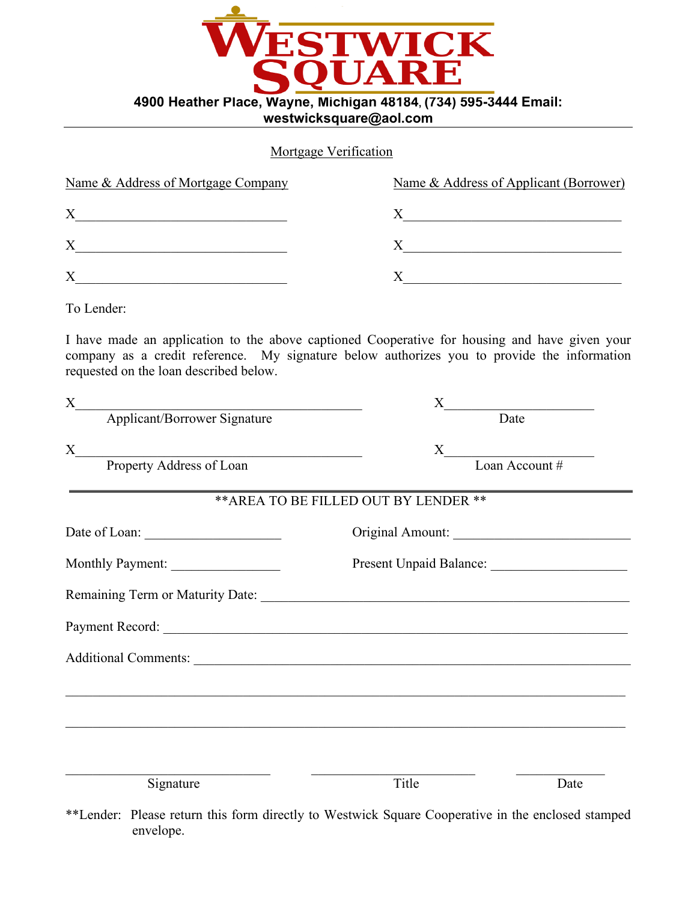

#### Mortgage Verification

| Name & Address of Mortgage Company | Name & Address of Applicant (Borrower) |
|------------------------------------|----------------------------------------|
| $\rm\overline{X}$                  |                                        |
| X                                  |                                        |
| X                                  |                                        |

To Lender:

I have made an application to the above captioned Cooperative for housing and have given your company as a credit reference. My signature below authorizes you to provide the information requested on the loan described below.

| X                               |                                                                                   |  |  |  |
|---------------------------------|-----------------------------------------------------------------------------------|--|--|--|
| Applicant/Borrower Signature    | $X$ Date                                                                          |  |  |  |
| $\boldsymbol{\mathrm{X}}$       |                                                                                   |  |  |  |
| <b>Property Address of Loan</b> | $X$ Loan Account #                                                                |  |  |  |
|                                 | ** AREA TO BE FILLED OUT BY LENDER **                                             |  |  |  |
|                                 | Original Amount:                                                                  |  |  |  |
| Monthly Payment:                |                                                                                   |  |  |  |
|                                 |                                                                                   |  |  |  |
|                                 |                                                                                   |  |  |  |
|                                 |                                                                                   |  |  |  |
|                                 |                                                                                   |  |  |  |
|                                 | ,我们也不能在这里的人,我们也不能在这里的人,我们也不能在这里的人,我们也不能在这里的人,我们也不能在这里的人,我们也不能在这里的人,我们也不能在这里的人,我们也 |  |  |  |
|                                 |                                                                                   |  |  |  |
| Signature                       | Title<br>Date                                                                     |  |  |  |

\*\*Lender: Please return this form directly to Westwick Square Cooperative in the enclosed stamped envelope.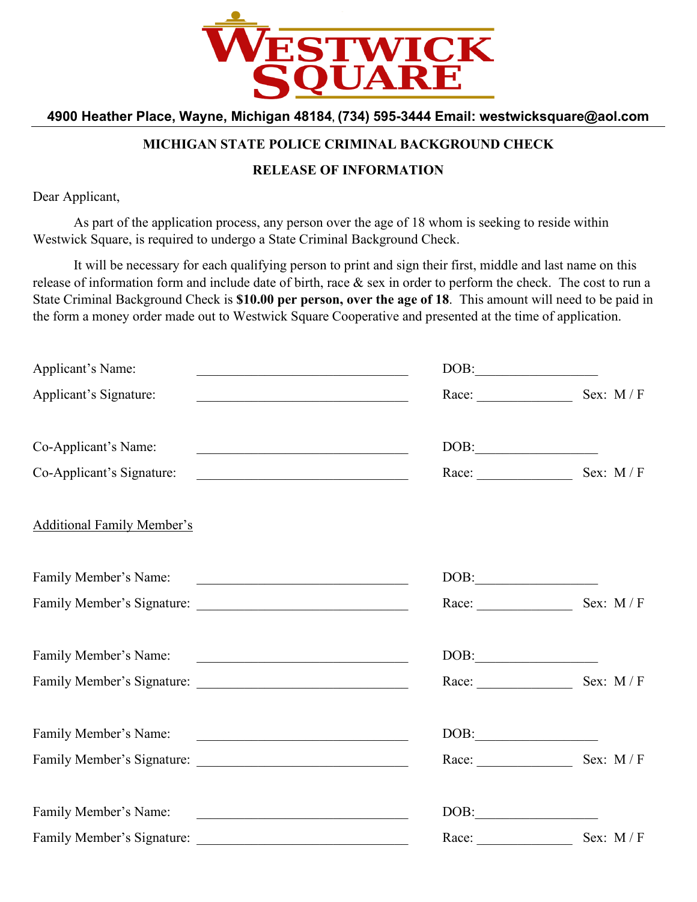

#### **MICHIGAN STATE POLICE CRIMINAL BACKGROUND CHECK**

#### **RELEASE OF INFORMATION**

Dear Applicant,

As part of the application process, any person over the age of 18 whom is seeking to reside within Westwick Square, is required to undergo a State Criminal Background Check.

It will be necessary for each qualifying person to print and sign their first, middle and last name on this release of information form and include date of birth, race & sex in order to perform the check. The cost to run a State Criminal Background Check is **\$10.00 per person, over the age of 18**. This amount will need to be paid in the form a money order made out to Westwick Square Cooperative and presented at the time of application.

| Applicant's Name:<br>the control of the control of the control of the control of the control of the control of                                  | $\boxed{\text{DOB:}\underline{\hspace{1.5cm}}\qquad \qquad \hspace{1.5cm} }$                                                       |            |
|-------------------------------------------------------------------------------------------------------------------------------------------------|------------------------------------------------------------------------------------------------------------------------------------|------------|
| Applicant's Signature:<br><u> 1951 - Johann John Stone, mars and de final de la componentation de la componentation de la componentation de</u> |                                                                                                                                    | Sex: M/F   |
| Co-Applicant's Name:<br><u> 2002 - Johann John Stein, market fransk politiker (d. 1982)</u>                                                     | $\boxed{\text{DOB:}\underline{\hspace{1.5cm}}\qquad \qquad \hspace{1.5cm} \underline{\hspace{1.5cm}}\qquad \qquad \hspace{1.5cm}}$ |            |
| Co-Applicant's Signature:<br><u> 2008 - Jan Barnett, mars et al. (b. 1982)</u>                                                                  | Race: $\qquad \qquad$                                                                                                              | Sex: M/F   |
| <b>Additional Family Member's</b>                                                                                                               |                                                                                                                                    |            |
| Family Member's Name:                                                                                                                           | DOB:                                                                                                                               |            |
|                                                                                                                                                 | Race: $\qquad \qquad$                                                                                                              | Sex: M/F   |
| Family Member's Name:                                                                                                                           |                                                                                                                                    |            |
|                                                                                                                                                 |                                                                                                                                    | Sex: $M/F$ |
| Family Member's Name:                                                                                                                           |                                                                                                                                    |            |
|                                                                                                                                                 | Race: $\qquad \qquad$                                                                                                              | Sex: $M/F$ |
| Family Member's Name:<br><u> 1989 - Andrea Station, Amerikaansk politiker (</u>                                                                 | $\boxed{\text{DOB:}\qquad \qquad }$                                                                                                |            |
| Family Member's Signature:                                                                                                                      | Race: $\qquad \qquad$                                                                                                              | Sex: $M/F$ |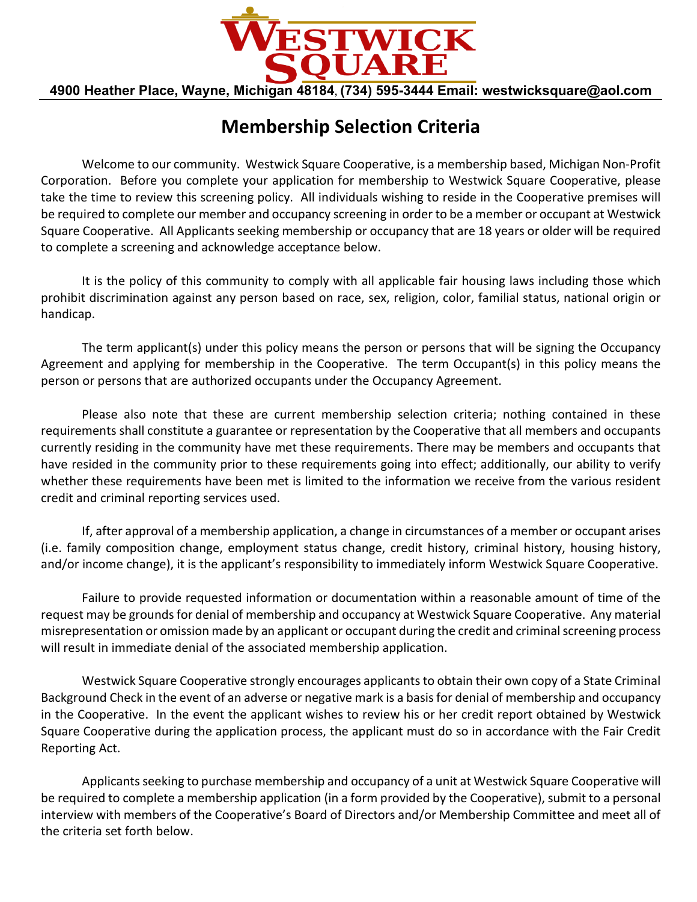

# **Membership Selection Criteria**

Welcome to our community. Westwick Square Cooperative, is a membership based, Michigan Non‐Profit Corporation. Before you complete your application for membership to Westwick Square Cooperative, please take the time to review this screening policy. All individuals wishing to reside in the Cooperative premises will be required to complete our member and occupancy screening in order to be a member or occupant at Westwick Square Cooperative. All Applicants seeking membership or occupancy that are 18 years or older will be required to complete a screening and acknowledge acceptance below.

It is the policy of this community to comply with all applicable fair housing laws including those which prohibit discrimination against any person based on race, sex, religion, color, familial status, national origin or handicap.

The term applicant(s) under this policy means the person or persons that will be signing the Occupancy Agreement and applying for membership in the Cooperative. The term Occupant(s) in this policy means the person or persons that are authorized occupants under the Occupancy Agreement.

Please also note that these are current membership selection criteria; nothing contained in these requirements shall constitute a guarantee or representation by the Cooperative that all members and occupants currently residing in the community have met these requirements. There may be members and occupants that have resided in the community prior to these requirements going into effect; additionally, our ability to verify whether these requirements have been met is limited to the information we receive from the various resident credit and criminal reporting services used.

If, after approval of a membership application, a change in circumstances of a member or occupant arises (i.e. family composition change, employment status change, credit history, criminal history, housing history, and/or income change), it is the applicant's responsibility to immediately inform Westwick Square Cooperative.

Failure to provide requested information or documentation within a reasonable amount of time of the request may be groundsfor denial of membership and occupancy at Westwick Square Cooperative. Any material misrepresentation or omission made by an applicant or occupant during the credit and criminal screening process will result in immediate denial of the associated membership application.

Westwick Square Cooperative strongly encourages applicants to obtain their own copy of a State Criminal Background Check in the event of an adverse or negative mark is a basisfor denial of membership and occupancy in the Cooperative. In the event the applicant wishes to review his or her credit report obtained by Westwick Square Cooperative during the application process, the applicant must do so in accordance with the Fair Credit Reporting Act.

Applicants seeking to purchase membership and occupancy of a unit at Westwick Square Cooperative will be required to complete a membership application (in a form provided by the Cooperative), submit to a personal interview with members of the Cooperative's Board of Directors and/or Membership Committee and meet all of the criteria set forth below.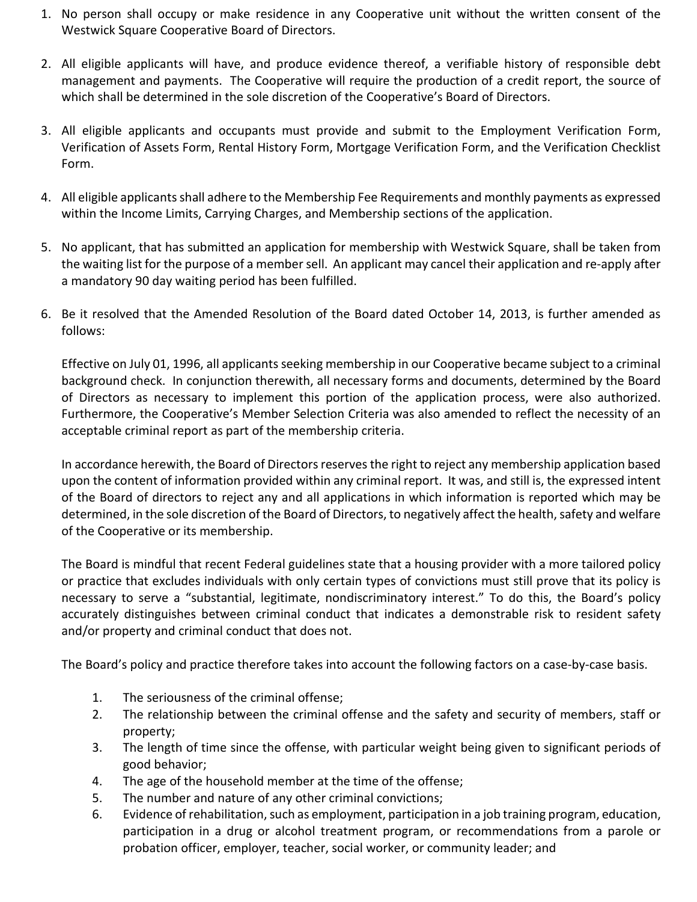- 1. No person shall occupy or make residence in any Cooperative unit without the written consent of the Westwick Square Cooperative Board of Directors.
- 2. All eligible applicants will have, and produce evidence thereof, a verifiable history of responsible debt management and payments. The Cooperative will require the production of a credit report, the source of which shall be determined in the sole discretion of the Cooperative's Board of Directors.
- 3. All eligible applicants and occupants must provide and submit to the Employment Verification Form, Verification of Assets Form, Rental History Form, Mortgage Verification Form, and the Verification Checklist Form.
- 4. All eligible applicantsshall adhere to the Membership Fee Requirements and monthly payments as expressed within the Income Limits, Carrying Charges, and Membership sections of the application.
- 5. All eligible applicants shall adhere to the following minimum income requirements to occupy a unit on the property:

**1 person** gross household income must be at least \$25,000 per year **2‐4 persons** combined gross household income must be at least \$30,000 per year **5+ persons** combined gross household income must be at least \$33,000 per year

- 6. No applicant, that has submitted an application for membership with Westwick Square, shall be taken from the waiting list for the purpose of a membersell. An applicant may cancel their application and re‐apply after a mandatory 90 day waiting period has been fulfilled.
- 7. Be it resolved that the Amended Resolution of the Board dated October 14, 2013, is further amended as follows:

Effective on July 01, 1996, all applicants seeking membership in our Cooperative became subject to a criminal background check. In conjunction therewith, all necessary forms and documents, determined by the Board of Directors as necessary to implement this portion of the application process, were also authorized. Furthermore, the Cooperative's Member Selection Criteria was also amended to reflect the necessity of an acceptable criminal report as part of the membership criteria.

In accordance herewith, the Board of Directors reserves the right to reject any membership application based upon the content of information provided within any criminal report. It was, and still is, the expressed intent of the Board of directors to reject any and all applications in which information is reported which may be determined, in the sole discretion of the Board of Directors, to negatively affect the health, safety and welfare of the Cooperative or its membership.

The Board is mindful that recent Federal guidelines state that a housing provider with a more tailored policy or practice that excludes individuals with only certain types of convictions must still prove that its policy is necessary to serve a "substantial, legitimate, nondiscriminatory interest." To do this, the Board's policy accurately distinguishes between criminal conduct that indicates a demonstrable risk to resident safety and/or property and criminal conduct that does not.

The Board's policy and practice therefore takes into account the following factors on a case-by-case basis.

- 1. The seriousness of the criminal offense;
- 2. The relationship between the criminal offense and the safety and security of members, staff or property;
- 3. The length of time since the offense, with particular weight being given to significant periods of good behavior;
- 4. The age of the household member at the time of the offense;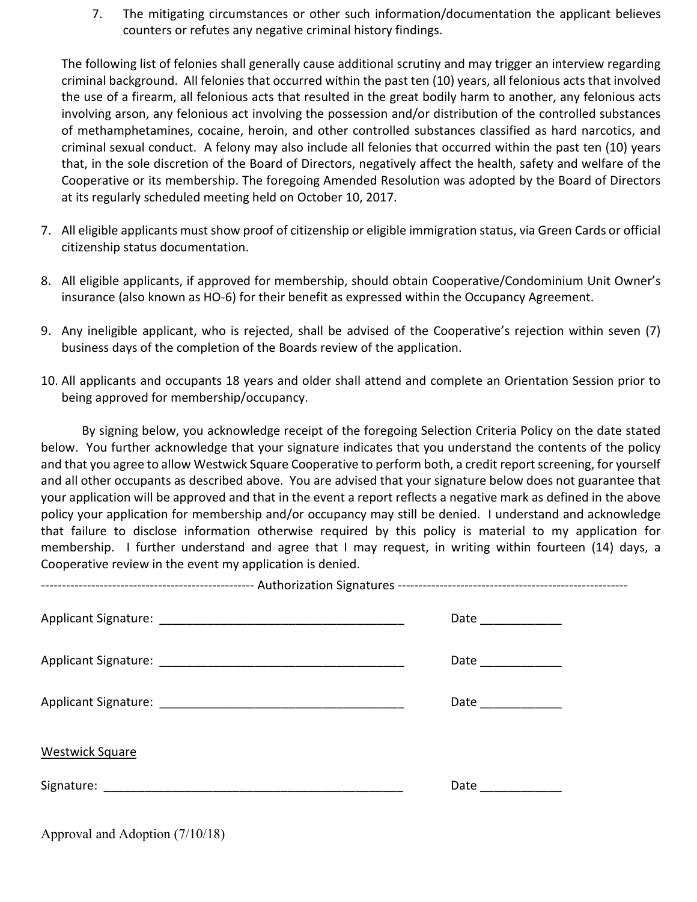- 5. The number and nature of any other criminal convictions;
- 6. Evidence of rehabilitation, such as employment, participation in a job training program, education, participation in a drug or alcohol treatment program, or recommendations from a parole or probation officer, employer, teacher, social worker, or community leader; and
- 7. The mitigating circumstances or other such information/documentation the applicant believes counters or refutes any negative criminal history findings.

The following list of felonies shall generally cause additional scrutiny and may trigger an interview regarding criminal background. All felonies that occurred within the past ten (10) years, all felonious acts that involved the use of a firearm, all felonious acts that resulted in the great bodily harm to another, any felonious acts involving arson, any felonious act involving the possession and/or distribution of the controlled substances of methamphetamines, cocaine, heroin, and other controlled substances classified as hard narcotics, and criminal sexual conduct. A felony may also include all felonies that occurred within the past ten (10) years that, in the sole discretion of the Board of Directors, negatively affect the health, safety and welfare of the Cooperative or its membership. The foregoing Amended Resolution was adopted by the Board of Directors at its regularly scheduled meeting held on October 10, 2017.

- 8. All eligible applicants must show proof of citizenship or eligible immigration status, via Green Cards or official citizenship status documentation.
- 9. All eligible applicants, if approved for membership, should obtain Cooperative/Condominium Unit Owner's insurance (also known as HO‐6) for their benefit as expressed within the Occupancy Agreement.
- 10. Any ineligible applicant, who is rejected, shall be advised of the Cooperative's rejection within seven (7) business days of the completion of the Boards review of the application.
- 11. All applicants and occupants 18 years and older shall attend and complete an Orientation Session prior to being approved for membership/occupancy.

By signing below, you acknowledge receipt of the foregoing Selection Criteria Policy on the date stated below. You further acknowledge that your signature indicates that you understand the contents of the policy and that you agree to allow Westwick Square Cooperative to perform both, a credit report screening, for yourself and all other occupants as described above. You are advised that your signature below does not guarantee that your application will be approved and that in the event a report reflects a negative mark as defined in the above policy your application for membership and/or occupancy may still be denied. I understand and acknowledge that failure to disclose information otherwise required by this policy is material to my application for membership. I further understand and agree that I may request, in writing within fourteen (14) days, a Cooperative review in the event my application is denied.

|                                   | Date _____________ |
|-----------------------------------|--------------------|
|                                   | Date _____________ |
|                                   | Date _____________ |
| <b>Westwick Square</b>            |                    |
|                                   | Date _____________ |
| Approval and Adoption $(1/12/22)$ |                    |